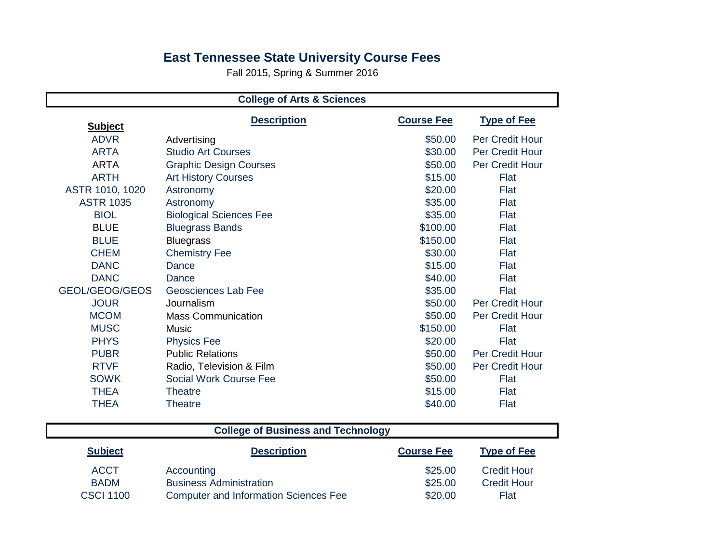## **East Tennessee State University Course Fees**

Fall 2015, Spring & Summer 2016

| <b>College of Arts &amp; Sciences</b> |                                |                   |                    |
|---------------------------------------|--------------------------------|-------------------|--------------------|
| <b>Subject</b>                        | <b>Description</b>             | <b>Course Fee</b> | <b>Type of Fee</b> |
| <b>ADVR</b>                           | Advertising                    | \$50.00           | Per Credit Hour    |
| <b>ARTA</b>                           | <b>Studio Art Courses</b>      | \$30.00           | Per Credit Hour    |
| <b>ARTA</b>                           | <b>Graphic Design Courses</b>  | \$50.00           | Per Credit Hour    |
| <b>ARTH</b>                           | <b>Art History Courses</b>     | \$15.00           | Flat               |
| ASTR 1010, 1020                       | Astronomy                      | \$20.00           | Flat               |
| <b>ASTR 1035</b>                      | Astronomy                      | \$35.00           | Flat               |
| <b>BIOL</b>                           | <b>Biological Sciences Fee</b> | \$35.00           | Flat               |
| <b>BLUE</b>                           | <b>Bluegrass Bands</b>         | \$100.00          | Flat               |
| <b>BLUE</b>                           | <b>Bluegrass</b>               | \$150.00          | Flat               |
| <b>CHEM</b>                           | <b>Chemistry Fee</b>           | \$30.00           | Flat               |
| <b>DANC</b>                           | Dance                          | \$15.00           | Flat               |
| <b>DANC</b>                           | Dance                          | \$40.00           | Flat               |
| GEOL/GEOG/GEOS                        | Geosciences Lab Fee            | \$35.00           | Flat               |
| <b>JOUR</b>                           | Journalism                     | \$50.00           | Per Credit Hour    |
| <b>MCOM</b>                           | <b>Mass Communication</b>      | \$50.00           | Per Credit Hour    |
| <b>MUSC</b>                           | <b>Music</b>                   | \$150.00          | Flat               |
| <b>PHYS</b>                           | <b>Physics Fee</b>             | \$20.00           | Flat               |
| <b>PUBR</b>                           | <b>Public Relations</b>        | \$50.00           | Per Credit Hour    |
| <b>RTVF</b>                           | Radio, Television & Film       | \$50.00           | Per Credit Hour    |
| <b>SOWK</b>                           | <b>Social Work Course Fee</b>  | \$50.00           | Flat               |
| <b>THEA</b>                           | <b>Theatre</b>                 | \$15.00           | Flat               |
| <b>THEA</b>                           | <b>Theatre</b>                 | \$40.00           | Flat               |

|                  | <b>College of Business and Technology</b>    |                   |                    |
|------------------|----------------------------------------------|-------------------|--------------------|
| <b>Subject</b>   | <b>Description</b>                           | <b>Course Fee</b> | <b>Type of Fee</b> |
| <b>ACCT</b>      | Accounting                                   | \$25.00           | <b>Credit Hour</b> |
| <b>BADM</b>      | <b>Business Administration</b>               | \$25.00           | <b>Credit Hour</b> |
| <b>CSCI 1100</b> | <b>Computer and Information Sciences Fee</b> | \$20.00           | Flat               |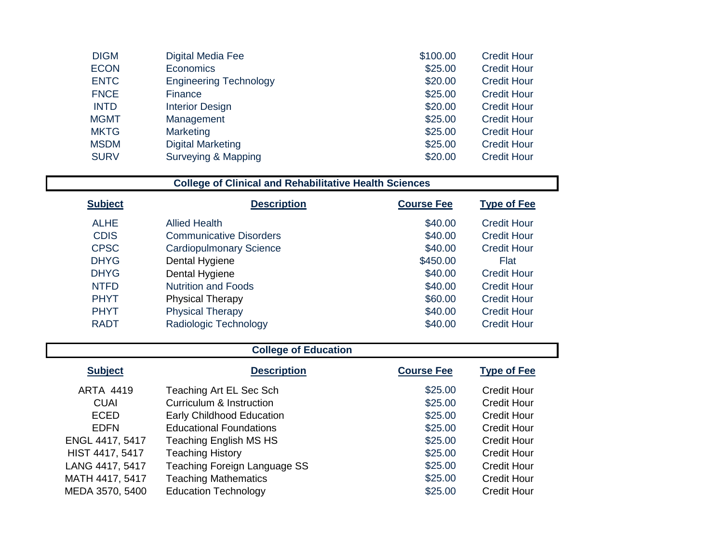| <b>DIGM</b> | Digital Media Fee             | \$100.00 | <b>Credit Hour</b> |
|-------------|-------------------------------|----------|--------------------|
| <b>ECON</b> | Economics                     | \$25.00  | <b>Credit Hour</b> |
| <b>ENTC</b> | <b>Engineering Technology</b> | \$20.00  | <b>Credit Hour</b> |
| <b>FNCE</b> | <b>Finance</b>                | \$25.00  | <b>Credit Hour</b> |
| <b>INTD</b> | <b>Interior Design</b>        | \$20.00  | <b>Credit Hour</b> |
| <b>MGMT</b> | Management                    | \$25.00  | <b>Credit Hour</b> |
| <b>MKTG</b> | Marketing                     | \$25.00  | <b>Credit Hour</b> |
| <b>MSDM</b> | <b>Digital Marketing</b>      | \$25.00  | <b>Credit Hour</b> |
| <b>SURV</b> | Surveying & Mapping           | \$20.00  | <b>Credit Hour</b> |

## **College of Clinical and Rehabilitative Health Sciences**

| <b>Subject</b> | <b>Description</b>             | <b>Course Fee</b> | <b>Type of Fee</b> |
|----------------|--------------------------------|-------------------|--------------------|
| <b>ALHE</b>    | Allied Health                  | \$40.00           | Credit Hour        |
| <b>CDIS</b>    | <b>Communicative Disorders</b> | \$40.00           | <b>Credit Hour</b> |
| <b>CPSC</b>    | <b>Cardiopulmonary Science</b> | \$40.00           | <b>Credit Hour</b> |
| <b>DHYG</b>    | Dental Hygiene                 | \$450.00          | Flat               |
| <b>DHYG</b>    | Dental Hygiene                 | \$40.00           | <b>Credit Hour</b> |
| <b>NTFD</b>    | <b>Nutrition and Foods</b>     | \$40.00           | <b>Credit Hour</b> |
| <b>PHYT</b>    | <b>Physical Therapy</b>        | \$60.00           | <b>Credit Hour</b> |
| <b>PHYT</b>    | <b>Physical Therapy</b>        | \$40.00           | <b>Credit Hour</b> |
| <b>RADT</b>    | Radiologic Technology          | \$40.00           | <b>Credit Hour</b> |

| <b>College of Education</b> |                                  |                   |                    |
|-----------------------------|----------------------------------|-------------------|--------------------|
| <b>Subject</b>              | <b>Description</b>               | <b>Course Fee</b> | <b>Type of Fee</b> |
| <b>ARTA 4419</b>            | Teaching Art EL Sec Sch          | \$25.00           | <b>Credit Hour</b> |
| <b>CUAI</b>                 | Curriculum & Instruction         | \$25.00           | <b>Credit Hour</b> |
| <b>ECED</b>                 | <b>Early Childhood Education</b> | \$25.00           | <b>Credit Hour</b> |
| <b>EDFN</b>                 | <b>Educational Foundations</b>   | \$25.00           | <b>Credit Hour</b> |
| ENGL 4417, 5417             | Teaching English MS HS           | \$25.00           | Credit Hour        |
| HIST 4417, 5417             | <b>Teaching History</b>          | \$25.00           | <b>Credit Hour</b> |
| LANG 4417, 5417             | Teaching Foreign Language SS     | \$25.00           | <b>Credit Hour</b> |
| MATH 4417, 5417             | <b>Teaching Mathematics</b>      | \$25.00           | <b>Credit Hour</b> |
| MEDA 3570, 5400             | <b>Education Technology</b>      | \$25.00           | <b>Credit Hour</b> |

 $\Box$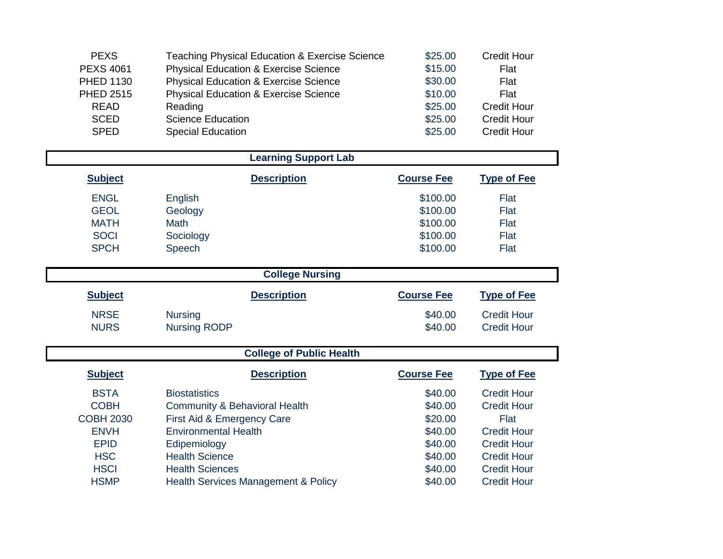| <b>PEXS</b>      | Teaching Physical Education & Exercise Science   | \$25.00 | <b>Credit Hour</b> |
|------------------|--------------------------------------------------|---------|--------------------|
| <b>PEXS 4061</b> | <b>Physical Education &amp; Exercise Science</b> | \$15.00 | Flat               |
| <b>PHED 1130</b> | <b>Physical Education &amp; Exercise Science</b> | \$30.00 | Flat               |
| <b>PHED 2515</b> | <b>Physical Education &amp; Exercise Science</b> | \$10.00 | Flat               |
| <b>READ</b>      | Reading                                          | \$25.00 | <b>Credit Hour</b> |
| <b>SCED</b>      | <b>Science Education</b>                         | \$25.00 | <b>Credit Hour</b> |
| <b>SPED</b>      | <b>Special Education</b>                         | \$25.00 | <b>Credit Hour</b> |

|                  | <b>Learning Support Lab</b>              |                   |                    |
|------------------|------------------------------------------|-------------------|--------------------|
| <b>Subject</b>   | <b>Description</b>                       | <b>Course Fee</b> | <b>Type of Fee</b> |
| <b>ENGL</b>      | English                                  | \$100.00          | Flat               |
| <b>GEOL</b>      | Geology                                  | \$100.00          | Flat               |
| <b>MATH</b>      | <b>Math</b>                              | \$100.00          | Flat               |
| <b>SOCI</b>      | Sociology                                | \$100.00          | Flat               |
| <b>SPCH</b>      | Speech                                   | \$100.00          | Flat               |
|                  | <b>College Nursing</b>                   |                   |                    |
| <b>Subject</b>   | <b>Description</b>                       | <b>Course Fee</b> | <b>Type of Fee</b> |
| <b>NRSE</b>      | <b>Nursing</b>                           | \$40.00           | <b>Credit Hour</b> |
| <b>NURS</b>      | <b>Nursing RODP</b>                      | \$40.00           | <b>Credit Hour</b> |
|                  | <b>College of Public Health</b>          |                   |                    |
| <b>Subject</b>   | <b>Description</b>                       | <b>Course Fee</b> | <b>Type of Fee</b> |
| <b>BSTA</b>      | <b>Biostatistics</b>                     | \$40.00           | <b>Credit Hour</b> |
| <b>COBH</b>      | <b>Community &amp; Behavioral Health</b> | \$40.00           | <b>Credit Hour</b> |
| <b>COBH 2030</b> | First Aid & Emergency Care               | \$20.00           | Flat               |
| <b>ENVH</b>      | <b>Environmental Health</b>              | \$40.00           | <b>Credit Hour</b> |
| <b>EPID</b>      | Edipemiology                             | \$40.00           | <b>Credit Hour</b> |
| <b>HSC</b>       | <b>Health Science</b>                    | \$40.00           | <b>Credit Hour</b> |
| <b>HSCI</b>      | <b>Health Sciences</b>                   | \$40.00           | <b>Credit Hour</b> |

HSCI Health Sciences<br>
HSMP Health Services Management & Policy<br>
1940.00 Credit Hour<br>
1940.00 Credit Hour

Health Services Management & Policy